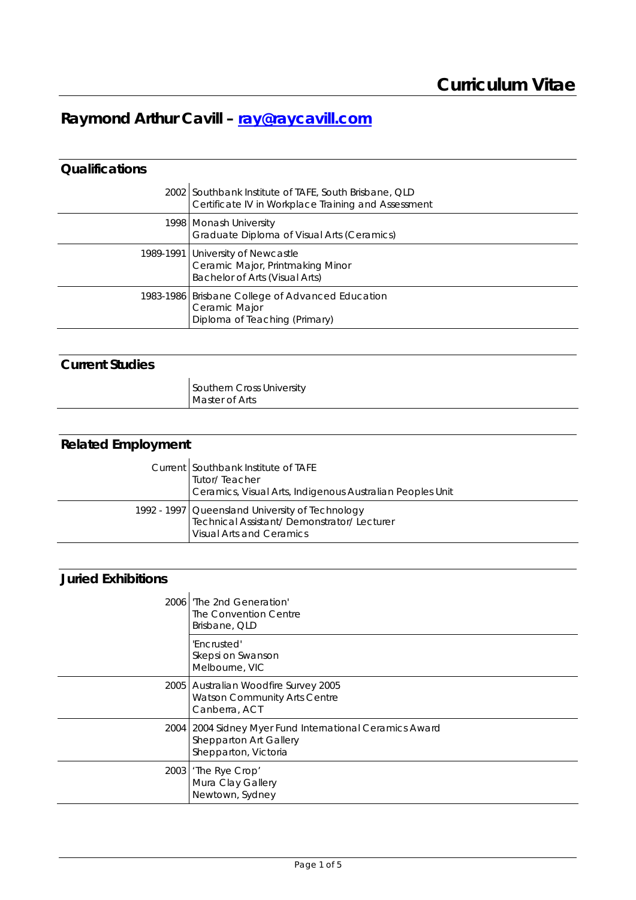# 1B**Raymond Arthur Cavill – ray@raycavill.com**

### 2B**Qualifications**

| 2002 Southbank Institute of TAFE, South Brisbane, QLD<br>Certificate IV in Workplace Training and Assessment |
|--------------------------------------------------------------------------------------------------------------|
| 1998   Monash University<br>Graduate Diploma of Visual Arts (Ceramics)                                       |
| 1989-1991 University of Newcastle<br>Ceramic Major, Printmaking Minor<br>Bachelor of Arts (Visual Arts)      |
| 1983-1986 Brisbane College of Advanced Education<br>Ceramic Major<br>Diploma of Teaching (Primary)           |

## 3B**Current Studies**

| Southern Cross University |
|---------------------------|
| Master of Arts            |

| <b>Related Employment</b> |                                                                                                                                 |
|---------------------------|---------------------------------------------------------------------------------------------------------------------------------|
|                           | Current Southbank Institute of TAFE<br>Tutor/Teacher<br>Ceramics, Visual Arts, Indigenous Australian Peoples Unit               |
|                           | 1992 - 1997 Queensland University of Technology<br>Technical Assistant/Demonstrator/Lecturer<br><b>Visual Arts and Ceramics</b> |

#### 5B**Juried Exhibitions**

| 2006 l'The 2nd Generation'<br>The Convention Centre<br>Brisbane, QLD                                        |
|-------------------------------------------------------------------------------------------------------------|
| 'Encrusted'<br>Skepsi on Swanson<br>Melbourne, VIC                                                          |
| 2005 Australian Woodfire Survey 2005<br>Watson Community Arts Centre<br>Canberra, ACT                       |
| 2004   2004 Sidney Myer Fund International Ceramics Award<br>Shepparton Art Gallery<br>Shepparton, Victoria |
| 2003 The Rye Crop'<br>Mura Clay Gallery<br>Newtown, Sydney                                                  |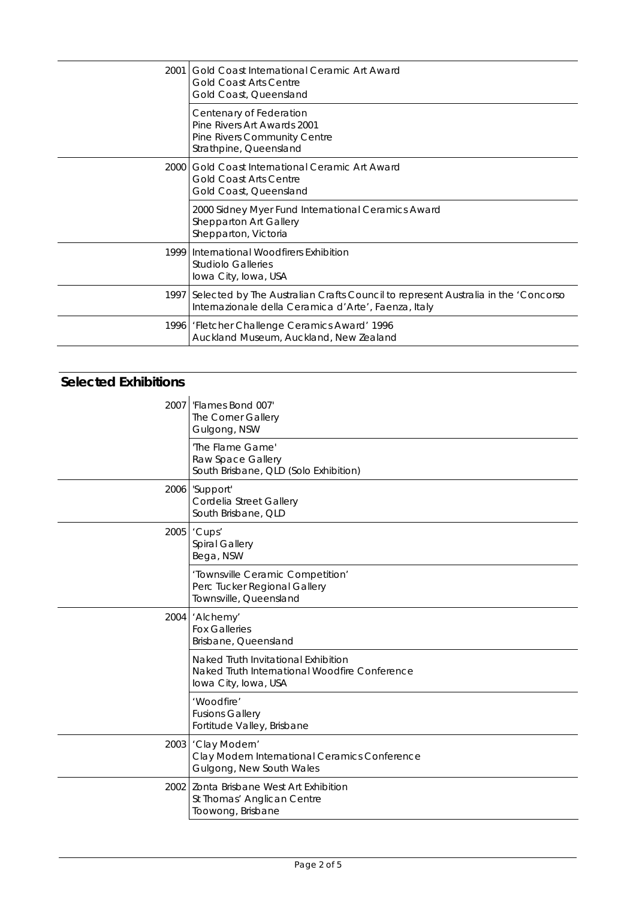| 2001 Gold Coast International Ceramic Art Award<br><b>Gold Coast Arts Centre</b><br>Gold Coast, Queensland                                     |
|------------------------------------------------------------------------------------------------------------------------------------------------|
| Centenary of Federation<br>Pine Rivers Art Awards 2001<br>Pine Rivers Community Centre<br>Strathpine, Queensland                               |
| 2000 Gold Coast International Ceramic Art Award<br><b>Gold Coast Arts Centre</b><br>Gold Coast, Queensland                                     |
| 2000 Sidney Myer Fund International Ceramics Award<br>Shepparton Art Gallery<br>Shepparton, Victoria                                           |
| 1999 International Woodfirers Exhibition<br><b>Studiolo Galleries</b><br>Iowa City, Iowa, USA                                                  |
| 1997 Selected by The Australian Crafts Council to represent Australia in the 'Concorso<br>Internazionale della Ceramica d'Arte', Faenza, Italy |
| 1996   'Fletcher Challenge Ceramics Award' 1996<br>Auckland Museum, Auckland, New Zealand                                                      |

## **Selected Exhibitions**

| 2007   'Flames Bond 007'<br>The Corner Gallery<br>Gulgong, NSW                                               |
|--------------------------------------------------------------------------------------------------------------|
| 'The Flame Game'<br>Raw Space Gallery<br>South Brisbane, QLD (Solo Exhibition)                               |
| 2006 Support'<br>Cordelia Street Gallery<br>South Brisbane, QLD                                              |
| 2005 'Cups'<br>Spiral Gallery<br>Bega, NSW                                                                   |
| 'Townsville Ceramic Competition'<br>Perc Tucker Regional Gallery<br>Townsville, Queensland                   |
| 2004 'Alchemy'<br><b>Fox Galleries</b><br>Brisbane, Queensland                                               |
| Naked Truth Invitational Exhibition<br>Naked Truth International Woodfire Conference<br>Iowa City, Iowa, USA |
| 'Woodfire'<br><b>Fusions Gallery</b><br>Fortitude Valley, Brisbane                                           |
| 2003 Clay Modern'<br>Clay Modern International Ceramics Conference<br>Gulgong, New South Wales               |
| 2002 Zonta Brisbane West Art Exhibition<br>St Thomas' Anglican Centre<br>Toowong, Brisbane                   |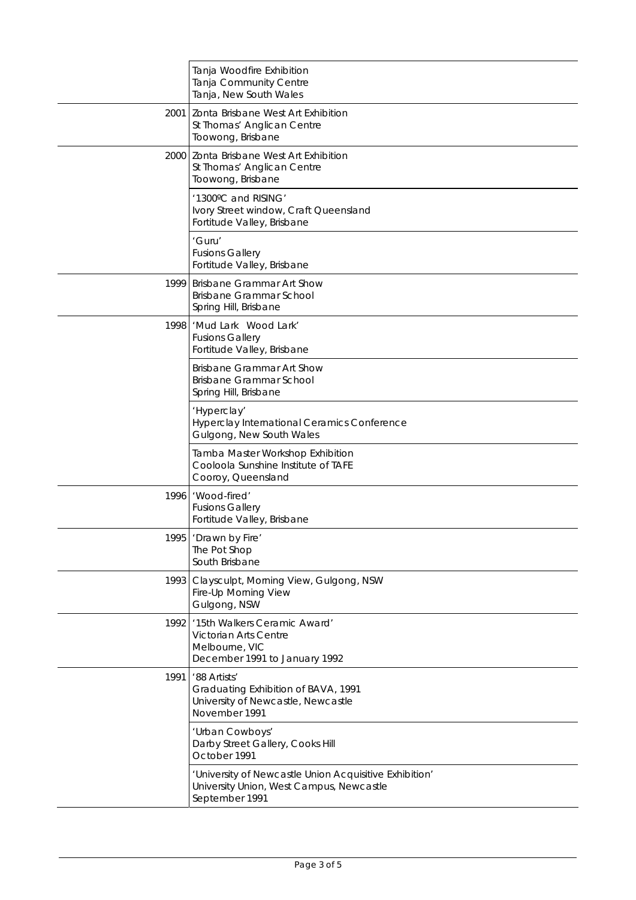|      | Tanja Woodfire Exhibition<br>Tanja Community Centre<br>Tanja, New South Wales                                        |
|------|----------------------------------------------------------------------------------------------------------------------|
| 2001 | Zonta Brisbane West Art Exhibition<br>St Thomas' Anglican Centre<br>Toowong, Brisbane                                |
|      | 2000 Zonta Brisbane West Art Exhibition<br>St Thomas' Anglican Centre<br>Toowong, Brisbane                           |
|      | '1300°C and RISING'<br>Ivory Street window, Craft Queensland<br>Fortitude Valley, Brisbane                           |
|      | 'Guru'<br><b>Fusions Gallery</b><br>Fortitude Valley, Brisbane                                                       |
| 1999 | <b>Brisbane Grammar Art Show</b><br>Brisbane Grammar School<br>Spring Hill, Brisbane                                 |
| 1998 | 'Mud Lark Wood Lark'<br><b>Fusions Gallery</b><br>Fortitude Valley, Brisbane                                         |
|      | <b>Brisbane Grammar Art Show</b><br>Brisbane Grammar School<br>Spring Hill, Brisbane                                 |
|      | 'Hyperclay'<br>Hyperclay International Ceramics Conference<br>Gulgong, New South Wales                               |
|      | Tamba Master Workshop Exhibition<br>Cooloola Sunshine Institute of TAFE<br>Cooroy, Queensland                        |
| 1996 | 'Wood-fired'<br><b>Fusions Gallery</b><br>Fortitude Valley, Brisbane                                                 |
|      | 1995 'Drawn by Fire'<br>The Pot Shop<br>South Brisbane                                                               |
| 1993 | Claysculpt, Morning View, Gulgong, NSW<br>Fire-Up Morning View<br>Gulgong, NSW                                       |
| 1992 | '15th Walkers Ceramic Award'<br>Victorian Arts Centre<br>Melbourne, VIC<br>December 1991 to January 1992             |
| 1991 | '88 Artists'<br>Graduating Exhibition of BAVA, 1991<br>University of Newcastle, Newcastle<br>November 1991           |
|      | 'Urban Cowboys'<br>Darby Street Gallery, Cooks Hill<br>October 1991                                                  |
|      | 'University of Newcastle Union Acquisitive Exhibition'<br>University Union, West Campus, Newcastle<br>September 1991 |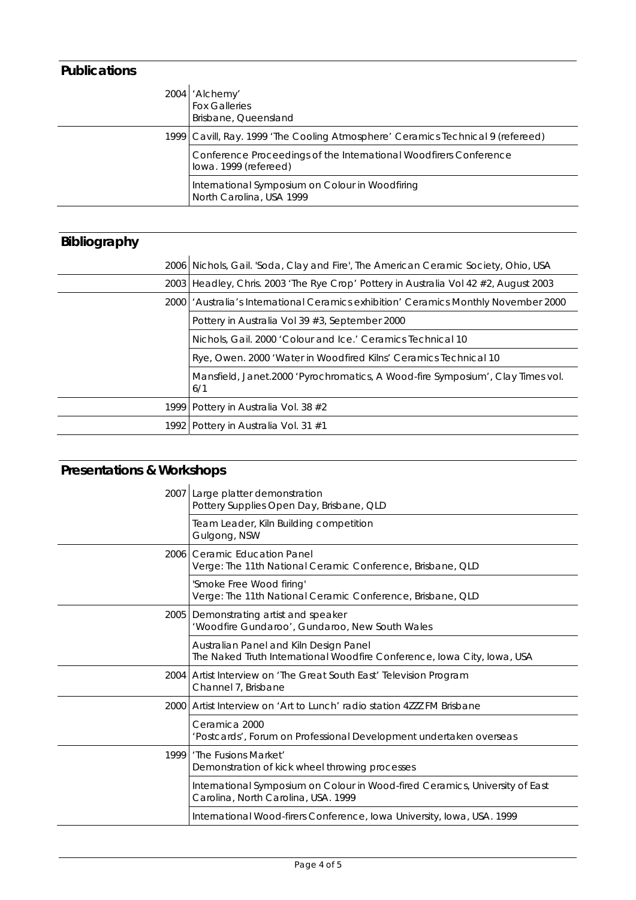### **Publications**

| 2004   'Alchemy'<br><b>Fox Galleries</b><br>Brisbane, Queensland                           |
|--------------------------------------------------------------------------------------------|
| 1999 Cavill, Ray. 1999 'The Cooling Atmosphere' Ceramics Technical 9 (refereed)            |
| Conference Proceedings of the International Woodfirers Conference<br>lowa. 1999 (refereed) |
| International Symposium on Colour in Woodfiring<br>North Carolina, USA 1999                |

## **Bibliography**

| 2006 Nichols, Gail. 'Soda, Clay and Fire', The American Ceramic Society, Ohio, USA     |
|----------------------------------------------------------------------------------------|
| 2003   Headley, Chris. 2003 'The Rye Crop' Pottery in Australia Vol 42 #2, August 2003 |
| 2000   'Australia's International Ceramics exhibition' Ceramics Monthly November 2000  |
| Pottery in Australia Vol 39 #3, September 2000                                         |
| Nichols, Gail. 2000 'Colour and Ice.' Ceramics Technical 10                            |
| Rye, Owen. 2000 'Water in Woodfired Kilns' Ceramics Technical 10                       |
| Mansfield, Janet.2000 'Pyrochromatics, A Wood-fire Symposium', Clay Times vol.<br>6/1  |
| 1999 Pottery in Australia Vol. 38 #2                                                   |
| 1992 Pottery in Australia Vol. 31 #1                                                   |

# **Presentations & Workshops**

|      | 2007 Large platter demonstration<br>Pottery Supplies Open Day, Brisbane, QLD                                        |
|------|---------------------------------------------------------------------------------------------------------------------|
|      | Team Leader, Kiln Building competition<br>Gulgong, NSW                                                              |
|      | 2006 Ceramic Education Panel<br>Verge: The 11th National Ceramic Conference, Brisbane, QLD                          |
|      | 'Smoke Free Wood firing'<br>Verge: The 11th National Ceramic Conference, Brisbane, QLD                              |
|      | 2005 Demonstrating artist and speaker<br>'Woodfire Gundaroo', Gundaroo, New South Wales                             |
|      | Australian Panel and Kiln Design Panel<br>The Naked Truth International Woodfire Conference, Iowa City, Iowa, USA   |
|      | 2004 Artist Interview on 'The Great South East' Television Program<br>Channel 7, Brisbane                           |
|      | 2000 Artist Interview on 'Art to Lunch' radio station 4222 FM Brisbane                                              |
|      | Ceramica 2000<br>'Postcards', Forum on Professional Development undertaken overseas                                 |
| 1999 | 'The Fusions Market'<br>Demonstration of kick wheel throwing processes                                              |
|      | International Symposium on Colour in Wood-fired Ceramics, University of East<br>Carolina, North Carolina, USA. 1999 |
|      | International Wood-firers Conference, Iowa University, Iowa, USA. 1999                                              |